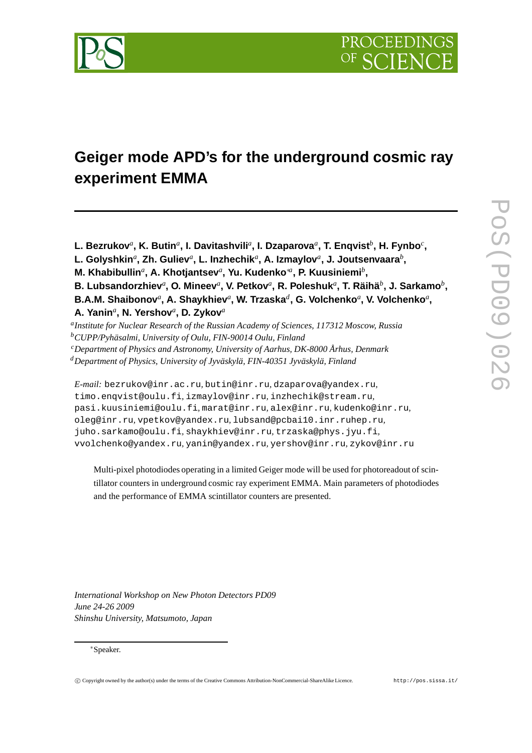

# **Geiger mode APD's for the underground cosmic ray experiment EMMA**

 $L$ . Bezrukov ${}^a$ , K. Butin ${}^a$ , I. Davitashvili ${}^a$ , I. Dzaparova ${}^a$ , T. Enqvist ${}^b$ , H. Fynbo ${}^c$ ,

 $L$ . Golyshkin ${}^a$ , Zh. Guliev ${}^a$ , L. Inzhechik ${}^a$ , A. Izmaylov ${}^a$ , J. Joutsenvaara ${}^b,$ 

**M. Khabibullin<sup>a</sup>, A. Khotjantsev<sup>a</sup>, Yu. Kudenko<sup>∗a</sup>, P. Kuusiniemi<sup>b</sup>,** 

**B.** Lubsandorzhiev<sup>a</sup>, O. Mineev<sup>a</sup>, V. Petkov<sup>a</sup>, R. Poleshuk<sup>a</sup>, T. Räihä<sup>b</sup>, J. Sarkamo<sup>b</sup>,  $\mathbf{B.A.M.}$  Shaibonov ${}^a$ , A. Shaykhiev ${}^a$ , W. Trzaska ${}^d$ , G. Volchenko ${}^a$ , V. Volchenko ${}^a,$ 

**A. Yanin***<sup>a</sup>* **, N. Yershov***<sup>a</sup>* **, D. Zykov***<sup>a</sup>*

*a Institute for Nuclear Research of the Russian Academy of Sciences, 117312 Moscow, Russia <sup>b</sup>CUPP/Pyhäsalmi, University of Oulu, FIN-90014 Oulu, Finland <sup>c</sup>Department of Physics and Astronomy, University of Aarhus, DK-8000 Århus, Denmark <sup>d</sup>Department of Physics, University of Jyväskylä, FIN-40351 Jyväskylä, Finland*

*E-mail:* bezrukov@inr.ac.ru*,* butin@inr.ru*,* dzaparova@yandex.ru*,* timo.enqvist@oulu.fi*,* izmaylov@inr.ru*,* inzhechik@stream.ru*,* pasi.kuusiniemi@oulu.fi*,* marat@inr.ru*,* alex@inr.ru*,* kudenko@inr.ru*,* oleg@inr.ru*,* vpetkov@yandex.ru*,* lubsand@pcbai10.inr.ruhep.ru*,* juho.sarkamo@oulu.fi*,* shaykhiev@inr.ru*,* trzaska@phys.jyu.fi*,* vvolchenko@yandex.ru*,* yanin@yandex.ru*,* yershov@inr.ru*,* zykov@inr.ru

Multi-pixel photodiodes operating in a limited Geiger mode will be used for photoreadout of scintillator counters in underground cosmic ray experiment EMMA. Main parameters of photodiodes and the performance of EMMA scintillator counters are presented.

*International Workshop on New Photon Detectors PD09 June 24-26 2009 Shinshu University, Matsumoto, Japan*

### <sup>∗</sup>Speaker.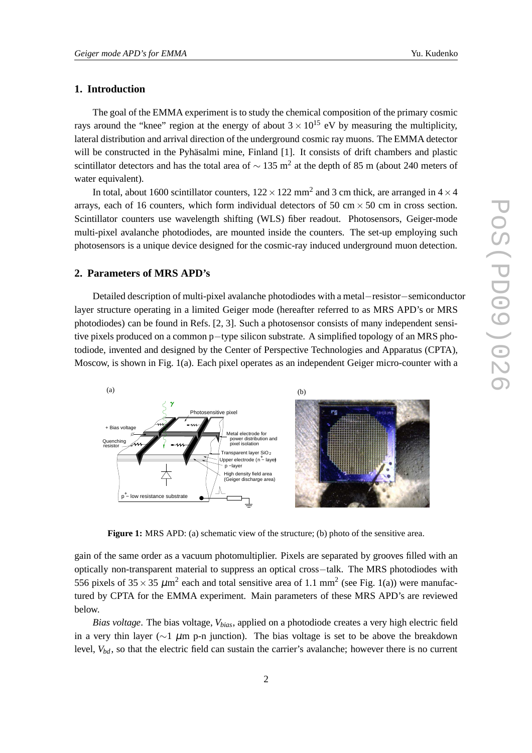# **1. Introduction**

The goal of the EMMA experiment is to study the chemical composition of the primary cosmic rays around the "knee" region at the energy of about  $3 \times 10^{15}$  eV by measuring the multiplicity, lateral distribution and arrival direction of the underground cosmic ray muons. The EMMA detector will be constructed in the Pyhäsalmi mine, Finland [1]. It consists of drift chambers and plastic scintillator detectors and has the total area of  $\sim 135$  m<sup>2</sup> at the depth of 85 m (about 240 meters of water equivalent).

In total, about 1600 scintillator counters,  $122 \times 122$  mm<sup>2</sup> and 3 cm thick, are arranged in  $4 \times 4$ arrays, each of 16 counters, which form individual detectors of 50 cm  $\times$  50 cm in cross section. Scintillator counters use wavelength shifting (WLS) fiber readout. Photosensors, Geiger-mode multi-pixel avalanche photodiodes, are mounted inside the counters. The set-up employing such photosensors is a unique device designed for the cosmic-ray induced underground muon detection.

## **2. Parameters of MRS APD's**

Detailed description of multi-pixel avalanche photodiodes with a metal−resistor−semiconductor layer structure operating in a limited Geiger mode (hereafter referred to as MRS APD's or MRS photodiodes) can be found in Refs. [2, 3]. Such a photosensor consists of many independent sensitive pixels produced on a common p−type silicon substrate. A simplified topology of an MRS photodiode, invented and designed by the Center of Perspective Technologies and Apparatus (CPTA), Moscow, is shown in Fig. 1(a). Each pixel operates as an independent Geiger micro-counter with a



**Figure 1:** MRS APD: (a) schematic view of the structure; (b) photo of the sensitive area.

gain of the same order as a vacuum photomultiplier. Pixels are separated by grooves filled with an optically non-transparent material to suppress an optical cross−talk. The MRS photodiodes with 556 pixels of  $35 \times 35 \ \mu \text{m}^2$  each and total sensitive area of 1.1 mm<sup>2</sup> (see Fig. 1(a)) were manufactured by CPTA for the EMMA experiment. Main parameters of these MRS APD's are reviewed below.

*Bias voltage*. The bias voltage, *Vbias*, applied on a photodiode creates a very high electric field in a very thin layer ( $\sim$ 1  $\mu$ m p-n junction). The bias voltage is set to be above the breakdown level,  $V_{bd}$ , so that the electric field can sustain the carrier's avalanche; however there is no current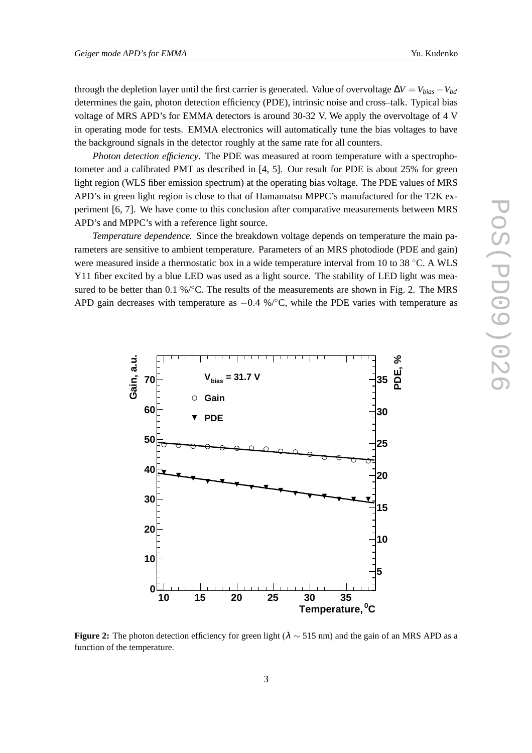through the depletion layer until the first carrier is generated. Value of overvoltage  $\Delta V = V_{bias} - V_{bd}$ determines the gain, photon detection efficiency (PDE), intrinsic noise and cross–talk. Typical bias voltage of MRS APD's for EMMA detectors is around 30-32 V. We apply the overvoltage of 4 V in operating mode for tests. EMMA electronics will automatically tune the bias voltages to have the background signals in the detector roughly at the same rate for all counters.

*Photon detection efficiency*. The PDE was measured at room temperature with a spectrophotometer and a calibrated PMT as described in [4, 5]. Our result for PDE is about 25% for green light region (WLS fiber emission spectrum) at the operating bias voltage. The PDE values of MRS APD's in green light region is close to that of Hamamatsu MPPC's manufactured for the T2K experiment [6, 7]. We have come to this conclusion after comparative measurements between MRS APD's and MPPC's with a reference light source.

*Temperature dependence.* Since the breakdown voltage depends on temperature the main parameters are sensitive to ambient temperature. Parameters of an MRS photodiode (PDE and gain) were measured inside a thermostatic box in a wide temperature interval from 10 to 38 °C. A WLS Y11 fiber excited by a blue LED was used as a light source. The stability of LED light was measured to be better than 0.1 %/°C. The results of the measurements are shown in Fig. 2. The MRS APD gain decreases with temperature as  $-0.4\%$ <sup>o</sup>°C, while the PDE varies with temperature as



**Figure 2:** The photon detection efficiency for green light ( $\lambda \sim 515$  nm) and the gain of an MRS APD as a function of the temperature.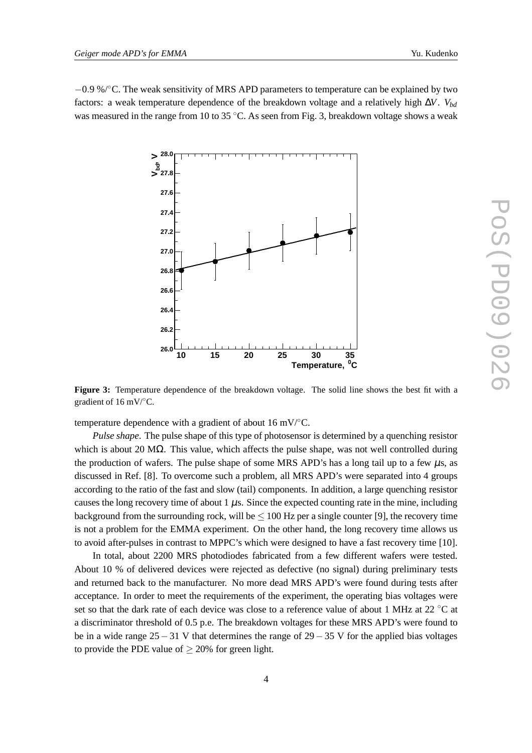−0.9 %/◦C. The weak sensitivity of MRS APD parameters to temperature can be explained by two factors: a weak temperature dependence of the breakdown voltage and a relatively high ∆*V*. *Vbd* was measured in the range from 10 to 35 °C. As seen from Fig. 3, breakdown voltage shows a weak



**Figure 3:** Temperature dependence of the breakdown voltage. The solid line shows the best fit with a gradient of 16 mV/ $\mathrm{C}$ .

temperature dependence with a gradient of about 16 mV/ $°C$ .

*Pulse shape*. The pulse shape of this type of photosensor is determined by a quenching resistor which is about 20 M $\Omega$ . This value, which affects the pulse shape, was not well controlled during the production of wafers. The pulse shape of some MRS APD's has a long tail up to a few  $\mu$ s, as discussed in Ref. [8]. To overcome such a problem, all MRS APD's were separated into 4 groups according to the ratio of the fast and slow (tail) components. In addition, a large quenching resistor causes the long recovery time of about  $1 \mu s$ . Since the expected counting rate in the mine, including background from the surrounding rock, will be  $\leq 100$  Hz per a single counter [9], the recovery time is not a problem for the EMMA experiment. On the other hand, the long recovery time allows us to avoid after-pulses in contrast to MPPC's which were designed to have a fast recovery time [10].

In total, about 2200 MRS photodiodes fabricated from a few different wafers were tested. About 10 % of delivered devices were rejected as defective (no signal) during preliminary tests and returned back to the manufacturer. No more dead MRS APD's were found during tests after acceptance. In order to meet the requirements of the experiment, the operating bias voltages were set so that the dark rate of each device was close to a reference value of about 1 MHz at 22 ◦C at a discriminator threshold of 0.5 p.e. The breakdown voltages for these MRS APD's were found to be in a wide range  $25-31$  V that determines the range of  $29-35$  V for the applied bias voltages to provide the PDE value of  $\geq$  20% for green light.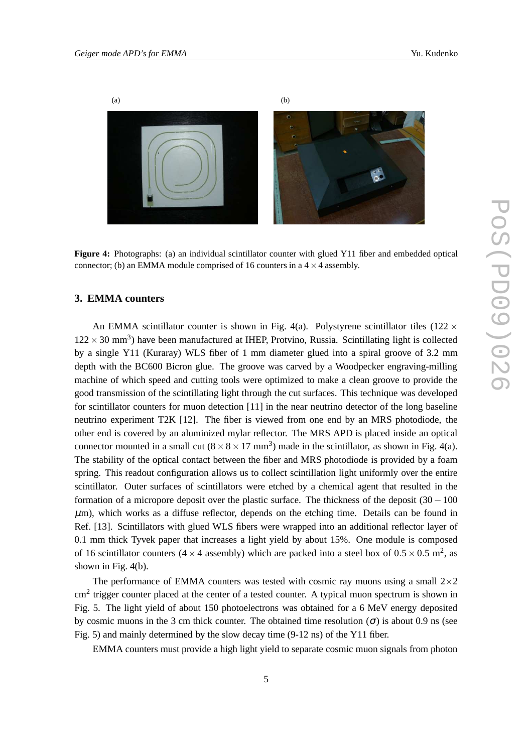

**Figure 4:** Photographs: (a) an individual scintillator counter with glued Y11 fiber and embedded optical connector; (b) an EMMA module comprised of 16 counters in a  $4 \times 4$  assembly.

# **3. EMMA counters**

An EMMA scintillator counter is shown in Fig. 4(a). Polystyrene scintillator tiles (122  $\times$  $122 \times 30$  mm<sup>3</sup>) have been manufactured at IHEP, Protvino, Russia. Scintillating light is collected by a single Y11 (Kuraray) WLS fiber of 1 mm diameter glued into a spiral groove of 3.2 mm depth with the BC600 Bicron glue. The groove was carved by a Woodpecker engraving-milling machine of which speed and cutting tools were optimized to make a clean groove to provide the good transmission of the scintillating light through the cut surfaces. This technique was developed for scintillator counters for muon detection [11] in the near neutrino detector of the long baseline neutrino experiment T2K [12]. The fiber is viewed from one end by an MRS photodiode, the other end is covered by an aluminized mylar reflector. The MRS APD is placed inside an optical connector mounted in a small cut  $(8 \times 8 \times 17 \text{ mm}^3)$  made in the scintillator, as shown in Fig. 4(a). The stability of the optical contact between the fiber and MRS photodiode is provided by a foam spring. This readout configuration allows us to collect scintillation light uniformly over the entire scintillator. Outer surfaces of scintillators were etched by a chemical agent that resulted in the formation of a micropore deposit over the plastic surface. The thickness of the deposit (30− 100  $\mu$ m), which works as a diffuse reflector, depends on the etching time. Details can be found in Ref. [13]. Scintillators with glued WLS fibers were wrapped into an additional reflector layer of 0.1 mm thick Tyvek paper that increases a light yield by about 15%. One module is composed of 16 scintillator counters (4  $\times$  4 assembly) which are packed into a steel box of 0.5  $\times$  0.5 m<sup>2</sup>, as shown in Fig. 4(b).

The performance of EMMA counters was tested with cosmic ray muons using a small  $2\times 2$  $\text{cm}^2$  trigger counter placed at the center of a tested counter. A typical muon spectrum is shown in Fig. 5. The light yield of about 150 photoelectrons was obtained for a 6 MeV energy deposited by cosmic muons in the 3 cm thick counter. The obtained time resolution ( $\sigma$ ) is about 0.9 ns (see Fig. 5) and mainly determined by the slow decay time (9-12 ns) of the Y11 fiber.

EMMA counters must provide a high light yield to separate cosmic muon signals from photon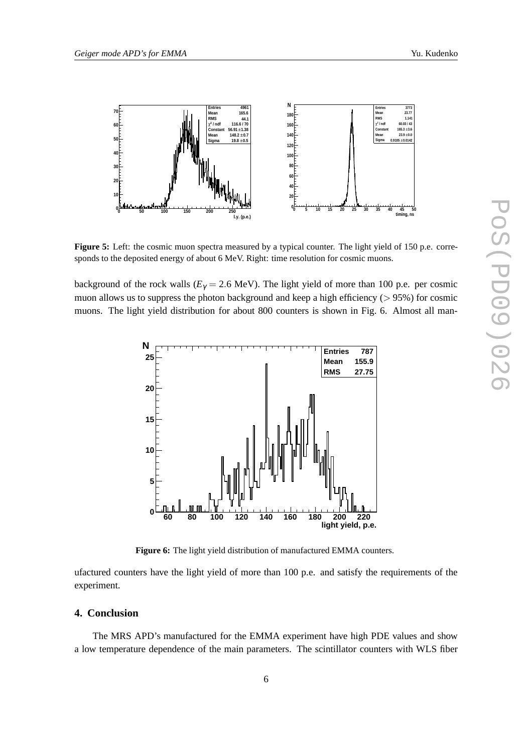

**Figure 5:** Left: the cosmic muon spectra measured by a typical counter. The light yield of 150 p.e. corresponds to the deposited energy of about 6 MeV. Right: time resolution for cosmic muons.

background of the rock walls ( $E<sub>\gamma</sub> = 2.6$  MeV). The light yield of more than 100 p.e. per cosmic muon allows us to suppress the photon background and keep a high efficiency  $(> 95\%)$  for cosmic muons. The light yield distribution for about 800 counters is shown in Fig. 6. Almost all man-



**Figure 6:** The light yield distribution of manufactured EMMA counters.

ufactured counters have the light yield of more than 100 p.e. and satisfy the requirements of the experiment.

### **4. Conclusion**

The MRS APD's manufactured for the EMMA experiment have high PDE values and show a low temperature dependence of the main parameters. The scintillator counters with WLS fiber